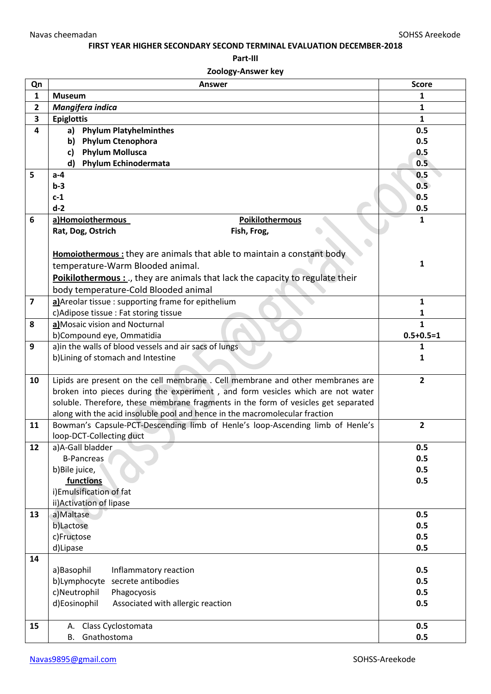## **FIRST YEAR HIGHER SECONDARY SECOND TERMINAL EVALUATION DECEMBER-2018**

**Part-III** 

## **Zoology-Answer key**

| Qn                      | <b>Answer</b>                                                                      | <b>Score</b>    |
|-------------------------|------------------------------------------------------------------------------------|-----------------|
| $\mathbf{1}$            | <b>Museum</b>                                                                      | 1               |
| $\overline{2}$          | Mangifera indica                                                                   | $\mathbf{1}$    |
| 3                       | <b>Epiglottis</b>                                                                  | $\mathbf{1}$    |
| 4                       | <b>Phylum Platyhelminthes</b><br>a)                                                | 0.5             |
|                         | <b>Phylum Ctenophora</b><br>b)                                                     | 0.5             |
|                         | <b>Phylum Mollusca</b><br>c)                                                       | 0.5             |
|                         | <b>Phylum Echinodermata</b><br>d)                                                  | 0.5             |
| 5                       | $a-4$                                                                              | 0.5             |
|                         | $b-3$                                                                              | 0.5             |
|                         | $c-1$                                                                              | 0.5             |
|                         | $d-2$                                                                              | 0.5             |
| 6                       | <b>Poikilothermous</b><br>a)Homoiothermous                                         | 1               |
|                         | Rat, Dog, Ostrich<br>Fish, Frog,                                                   |                 |
|                         |                                                                                    |                 |
|                         | <b>Homoiothermous</b> : they are animals that able to maintain a constant body     |                 |
|                         | temperature-Warm Blooded animal.                                                   | 1               |
|                         | Poikilothermous :, they are animals that lack the capacity to regulate their       |                 |
|                         | body temperature-Cold Blooded animal                                               |                 |
| $\overline{\mathbf{z}}$ | a) Areolar tissue: supporting frame for epithelium                                 | $\mathbf{1}$    |
|                         | c) Adipose tissue : Fat storing tissue                                             | 1               |
| 8                       | a) Mosaic vision and Nocturnal                                                     | $\mathbf{1}$    |
|                         | b)Compound eye, Ommatidia                                                          | $0.5 + 0.5 = 1$ |
| 9                       | a) in the walls of blood vessels and air sacs of lungs                             | 1               |
|                         | b) Lining of stomach and Intestine                                                 | 1               |
|                         |                                                                                    |                 |
| 10                      | Lipids are present on the cell membrane. Cell membrane and other membranes are     | $\overline{2}$  |
|                         | broken into pieces during the experiment, and form vesicles which are not water    |                 |
|                         | soluble. Therefore, these membrane fragments in the form of vesicles get separated |                 |
|                         | along with the acid insoluble pool and hence in the macromolecular fraction        |                 |
| 11                      | Bowman's Capsule-PCT-Descending limb of Henle's loop-Ascending limb of Henle's     | $\overline{2}$  |
|                         | loop-DCT-Collecting duct                                                           |                 |
| 12                      | a)A-Gall bladder                                                                   | 0.5             |
|                         | B-Pancreas                                                                         | 0.5             |
|                         | b)Bile juice,                                                                      | 0.5             |
|                         | functions                                                                          | 0.5             |
|                         | i)Emulsification of fat                                                            |                 |
|                         | ii) Activation of lipase                                                           |                 |
| 13                      | a)Maltase                                                                          | 0.5             |
|                         | b)Lactose                                                                          | 0.5             |
|                         | c)Fructose                                                                         | 0.5             |
|                         | d)Lipase                                                                           | 0.5             |
| 14                      |                                                                                    |                 |
|                         | a)Basophil<br>Inflammatory reaction                                                | 0.5             |
|                         | secrete antibodies<br>b)Lymphocyte                                                 | 0.5             |
|                         | c)Neutrophil<br>Phagocyosis                                                        | 0.5             |
|                         | d)Eosinophil<br>Associated with allergic reaction                                  | 0.5             |
|                         |                                                                                    |                 |
| 15                      | Class Cyclostomata<br>А.                                                           | 0.5             |
|                         | Gnathostoma<br>B.                                                                  | 0.5             |